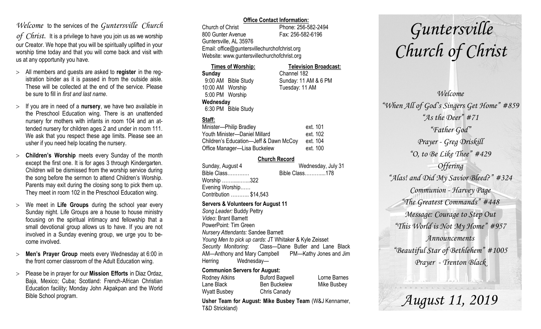### *Welcome* to the services of the *Guntersville Church*

*of Christ*. It is a privilege to have you join us as we worship our Creator. We hope that you will be spiritually uplifted in your worship time today and that you will come back and visit with us at any opportunity you have.

- All members and guests are asked to **register** in the registration binder as it is passed in from the outside aisle. These will be collected at the end of the service. Please be sure to fill in *first and last name*.
- $>$  If you are in need of a **nursery**, we have two available in the Preschool Education wing. There is an unattended nursery for mothers with infants in room 104 and an attended nursery for children ages 2 and under in room 111. We ask that you respect these age limits. Please see an usher if you need help locating the nursery.
- **Children's Worship** meets every Sunday of the month except the first one. It is for ages 3 through Kindergarten. Children will be dismissed from the worship service during the song before the sermon to attend Children's Worship. Parents may exit during the closing song to pick them up. They meet in room 102 in the Preschool Education wing.
- We meet in **Life Groups** during the school year every Sunday night. Life Groups are a house to house ministry focusing on the spiritual intimacy and fellowship that a small devotional group allows us to have. If you are not involved in a Sunday evening group, we urge you to become involved.
- **Men's Prayer Group** meets every Wednesday at 6:00 in the front corner classroom of the Adult Education wing.
- Please be in prayer for our **Mission Efforts** in Diaz Ordaz, Baja, Mexico; Cuba; Scotland: French-African Christian Education facility; Monday John Akpakpan and the World Bible School program.

### **Office Contact Information:**

Church of Christ Phone: 256-582-2494 800 Gunter Avenue Fax: 256-582-6196 Guntersville, AL 35976 Email: office@guntersvillechurchofchrist.org Website: www.guntersvillechurchofchrist.org

| <b>Times of Worship:</b> |                     | <b>Television Broadcast:</b> |  |
|--------------------------|---------------------|------------------------------|--|
| Sunday                   |                     | Channel 182                  |  |
|                          | 9:00 AM Bible Study | Sunday: 11 AM & 6 PM         |  |
| 10:00 AM Worship         |                     | Tuesday: 11 AM               |  |
| 5:00 PM Worship          |                     |                              |  |
| Wednesday                |                     |                              |  |
|                          | 6:30 PM Bible Study |                              |  |

### **Staff:**

| Minister-Philip Bradley                | ext. 101 |
|----------------------------------------|----------|
| Youth Minister-Daniel Millard          | ext. 102 |
| Children's Education-Jeff & Dawn McCoy | ext. 104 |
| Office Manager-Lisa Buckelew           | ext. 100 |

### **Church Record**

| Sunday, August 4       | Wednesday, July 31 |  |
|------------------------|--------------------|--|
| Bible Class            | Bible Class178     |  |
| Worship 322            |                    |  |
| Evening Worship        |                    |  |
| Contribution  \$14,543 |                    |  |
|                        |                    |  |

#### **Servers & Volunteers for August 11**

*Song Leader:* Buddy Pettry *Video*: Brant Barnett PowerPoint: Tim Green *Nursery Attendants:* Sandee Barnett *Young Men to pick up cards*: JT Whitaker & Kyle Zeisset *Security Monitoring*: Class—Diane Butler and Lane Black AM—Anthony and Mary Campbell PM—Kathy Jones and Jim Herring Wednesday—

### **Communion Servers for August:**

| Rodney Atkins | <b>Buford Bagwell</b> | Lorne Barnes |
|---------------|-----------------------|--------------|
| Lane Black    | <b>Ben Buckelew</b>   | Mike Busbey  |
| Wyatt Busbey  | Chris Canady          |              |

**Usher Team for August: Mike Busbey Team** (W&J Kennamer, T&D Strickland)

# *Guntersville Church of Christ*

*Welcome "When All of God's Singers Get Home" #859 "As the Deer" #71 "Father God" Prayer - Greg Driskill "O, to Be Like Thee" #429 Offering "Alas! and Did My Savior Bleed?" #324 Communion - Harvey Page "The Greatest Commands" #448 Message: Courage to Step Out "This World is Not My Home" #957 Announcements "Beautiful Star of Bethlehem" #1005 Prayer - Trenton Black*

*August 11, 2019*